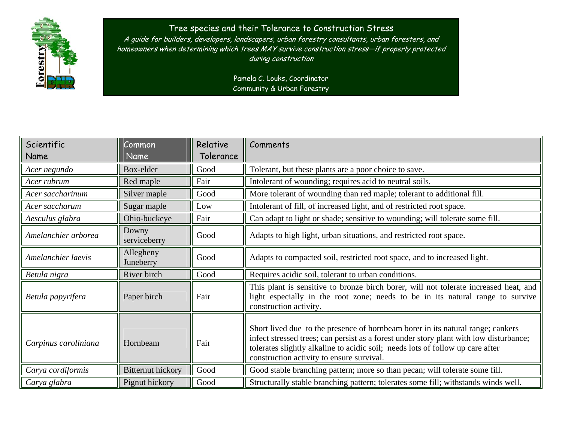

## Tree species and their Tolerance to Construction Stress

A guide for builders, developers, landscapers, urban forestry consultants, urban foresters, and homeowners when determining which trees MAY survive construction stress—if properly protected during construction

> Pamela C. Louks, Coordinator Community & Urban Forestry

| Scientific           | Common                   | Relative  | Comments                                                                                                                                                                                                                                                                                                 |
|----------------------|--------------------------|-----------|----------------------------------------------------------------------------------------------------------------------------------------------------------------------------------------------------------------------------------------------------------------------------------------------------------|
| Name                 | Name                     | Tolerance |                                                                                                                                                                                                                                                                                                          |
| Acer negundo         | Box-elder                | Good      | Tolerant, but these plants are a poor choice to save.                                                                                                                                                                                                                                                    |
| Acer rubrum          | Red maple                | Fair      | Intolerant of wounding; requires acid to neutral soils.                                                                                                                                                                                                                                                  |
| Acer saccharinum     | Silver maple             | Good      | More tolerant of wounding than red maple; tolerant to additional fill.                                                                                                                                                                                                                                   |
| Acer saccharum       | Sugar maple              | Low       | Intolerant of fill, of increased light, and of restricted root space.                                                                                                                                                                                                                                    |
| Aesculus glabra      | Ohio-buckeye             | Fair      | Can adapt to light or shade; sensitive to wounding; will tolerate some fill.                                                                                                                                                                                                                             |
| Amelanchier arborea  | Downy<br>serviceberry    | Good      | Adapts to high light, urban situations, and restricted root space.                                                                                                                                                                                                                                       |
| Amelanchier laevis   | Allegheny<br>Juneberry   | Good      | Adapts to compacted soil, restricted root space, and to increased light.                                                                                                                                                                                                                                 |
| Betula nigra         | River birch              | Good      | Requires acidic soil, tolerant to urban conditions.                                                                                                                                                                                                                                                      |
| Betula papyrifera    | Paper birch              | Fair      | This plant is sensitive to bronze birch borer, will not tolerate increased heat, and<br>light especially in the root zone; needs to be in its natural range to survive<br>construction activity.                                                                                                         |
| Carpinus caroliniana | Hornbeam                 | Fair      | Short lived due to the presence of hornbeam borer in its natural range; cankers<br>infect stressed trees; can persist as a forest under story plant with low disturbance;<br>tolerates slightly alkaline to acidic soil; needs lots of follow up care after<br>construction activity to ensure survival. |
| Carya cordiformis    | <b>Bitternut hickory</b> | Good      | Good stable branching pattern; more so than pecan; will tolerate some fill.                                                                                                                                                                                                                              |
| Carya glabra         | Pignut hickory           | Good      | Structurally stable branching pattern; tolerates some fill; withstands winds well.                                                                                                                                                                                                                       |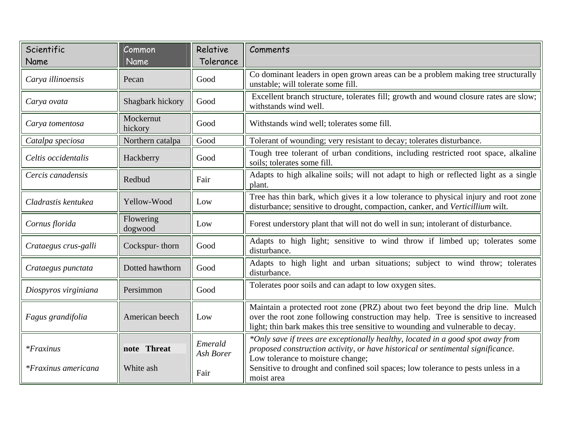| Scientific             | Common               | Relative             | Comments                                                                                                                                                                                                                                                 |
|------------------------|----------------------|----------------------|----------------------------------------------------------------------------------------------------------------------------------------------------------------------------------------------------------------------------------------------------------|
| Name                   | Name                 | Tolerance            |                                                                                                                                                                                                                                                          |
| Carya illinoensis      | Pecan                | Good                 | Co dominant leaders in open grown areas can be a problem making tree structurally<br>unstable; will tolerate some fill.                                                                                                                                  |
| Carya ovata            | Shagbark hickory     | Good                 | Excellent branch structure, tolerates fill; growth and wound closure rates are slow;<br>withstands wind well.                                                                                                                                            |
| Carya tomentosa        | Mockernut<br>hickory | Good                 | Withstands wind well; tolerates some fill.                                                                                                                                                                                                               |
| Catalpa speciosa       | Northern catalpa     | Good                 | Tolerant of wounding; very resistant to decay; tolerates disturbance.                                                                                                                                                                                    |
| Celtis occidentalis    | Hackberry            | Good                 | Tough tree tolerant of urban conditions, including restricted root space, alkaline<br>soils; tolerates some fill.                                                                                                                                        |
| Cercis canadensis      | Redbud               | Fair                 | Adapts to high alkaline soils; will not adapt to high or reflected light as a single<br>plant.                                                                                                                                                           |
| Cladrastis kentukea    | Yellow-Wood          | Low                  | Tree has thin bark, which gives it a low tolerance to physical injury and root zone<br>disturbance; sensitive to drought, compaction, canker, and Verticillium wilt.                                                                                     |
| Cornus florida         | Flowering<br>dogwood | Low                  | Forest understory plant that will not do well in sun; intolerant of disturbance.                                                                                                                                                                         |
| Crataegus crus-galli   | Cockspur-thorn       | Good                 | Adapts to high light; sensitive to wind throw if limbed up; tolerates some<br>disturbance.                                                                                                                                                               |
| Crataegus punctata     | Dotted hawthorn      | Good                 | Adapts to high light and urban situations; subject to wind throw; tolerates<br>disturbance.                                                                                                                                                              |
| Diospyros virginiana   | Persimmon            | Good                 | Tolerates poor soils and can adapt to low oxygen sites.                                                                                                                                                                                                  |
| Fagus grandifolia      | American beech       | Low                  | Maintain a protected root zone (PRZ) about two feet beyond the drip line. Mulch<br>over the root zone following construction may help. Tree is sensitive to increased<br>light; thin bark makes this tree sensitive to wounding and vulnerable to decay. |
| $*$ <i>Fraxinus</i>    | note Threat          | Emerald<br>Ash Borer | *Only save if trees are exceptionally healthy, located in a good spot away from<br>proposed construction activity, or have historical or sentimental significance.<br>Low tolerance to moisture change;                                                  |
| $*$ Fraxinus americana | White ash            | Fair                 | Sensitive to drought and confined soil spaces; low tolerance to pests unless in a<br>moist area                                                                                                                                                          |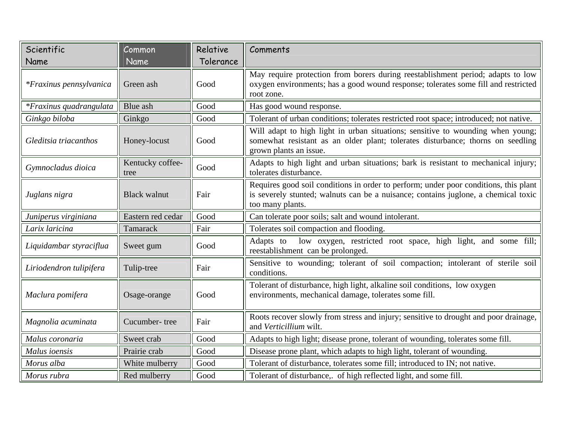| Scientific                     | Common                   | Relative  | Comments                                                                                                                                                                                       |
|--------------------------------|--------------------------|-----------|------------------------------------------------------------------------------------------------------------------------------------------------------------------------------------------------|
| Name                           | Name                     | Tolerance |                                                                                                                                                                                                |
| <i>*Fraxinus pennsylvanica</i> | Green ash                | Good      | May require protection from borers during reestablishment period; adapts to low<br>oxygen environments; has a good wound response; tolerates some fill and restricted<br>root zone.            |
| *Fraxinus quadrangulata        | Blue ash                 | Good      | Has good wound response.                                                                                                                                                                       |
| Ginkgo biloba                  | Ginkgo                   | Good      | Tolerant of urban conditions; tolerates restricted root space; introduced; not native.                                                                                                         |
| Gleditsia triacanthos          | Honey-locust             | Good      | Will adapt to high light in urban situations; sensitive to wounding when young;<br>somewhat resistant as an older plant; tolerates disturbance; thorns on seedling<br>grown plants an issue.   |
| Gymnocladus dioica             | Kentucky coffee-<br>tree | Good      | Adapts to high light and urban situations; bark is resistant to mechanical injury;<br>tolerates disturbance.                                                                                   |
| Juglans nigra                  | <b>Black walnut</b>      | Fair      | Requires good soil conditions in order to perform; under poor conditions, this plant<br>is severely stunted; walnuts can be a nuisance; contains juglone, a chemical toxic<br>too many plants. |
| Juniperus virginiana           | Eastern red cedar        | Good      | Can tolerate poor soils; salt and wound intolerant.                                                                                                                                            |
| Larix laricina                 | Tamarack                 | Fair      | Tolerates soil compaction and flooding.                                                                                                                                                        |
| Liquidambar styraciflua        | Sweet gum                | Good      | low oxygen, restricted root space, high light, and some fill;<br>Adapts to<br>reestablishment can be prolonged.                                                                                |
| Liriodendron tulipifera        | Tulip-tree               | Fair      | Sensitive to wounding; tolerant of soil compaction; intolerant of sterile soil<br>conditions.                                                                                                  |
| Maclura pomifera               | Osage-orange             | Good      | Tolerant of disturbance, high light, alkaline soil conditions, low oxygen<br>environments, mechanical damage, tolerates some fill.                                                             |
| Magnolia acuminata             | Cucumber-tree            | Fair      | Roots recover slowly from stress and injury; sensitive to drought and poor drainage,<br>and Verticillium wilt.                                                                                 |
| Malus coronaria                | Sweet crab               | Good      | Adapts to high light; disease prone, tolerant of wounding, tolerates some fill.                                                                                                                |
| Malus ioensis                  | Prairie crab             | Good      | Disease prone plant, which adapts to high light, tolerant of wounding.                                                                                                                         |
| Morus alba                     | White mulberry           | Good      | Tolerant of disturbance, tolerates some fill; introduced to IN; not native.                                                                                                                    |
| Morus rubra                    | Red mulberry             | Good      | Tolerant of disturbance,. of high reflected light, and some fill.                                                                                                                              |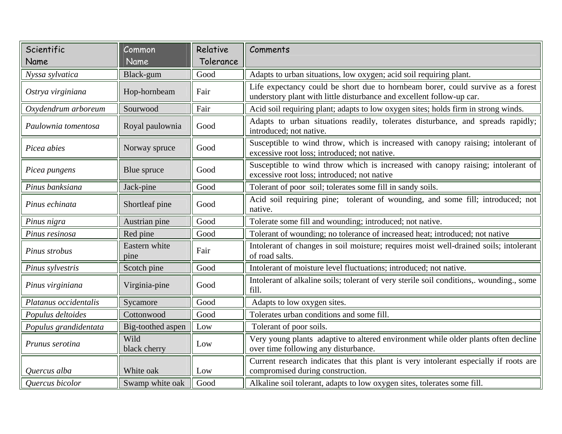| Scientific            | Common                | Relative  | Comments                                                                                                                                                 |
|-----------------------|-----------------------|-----------|----------------------------------------------------------------------------------------------------------------------------------------------------------|
| Name                  | Name                  | Tolerance |                                                                                                                                                          |
| Nyssa sylvatica       | Black-gum             | Good      | Adapts to urban situations, low oxygen; acid soil requiring plant.                                                                                       |
| Ostrya virginiana     | Hop-hornbeam          | Fair      | Life expectancy could be short due to hornbeam borer, could survive as a forest<br>understory plant with little disturbance and excellent follow-up car. |
| Oxydendrum arboreum   | Sourwood              | Fair      | Acid soil requiring plant; adapts to low oxygen sites; holds firm in strong winds.                                                                       |
| Paulownia tomentosa   | Royal paulownia       | Good      | Adapts to urban situations readily, tolerates disturbance, and spreads rapidly;<br>introduced; not native.                                               |
| Picea abies           | Norway spruce         | Good      | Susceptible to wind throw, which is increased with canopy raising; intolerant of<br>excessive root loss; introduced; not native.                         |
| Picea pungens         | Blue spruce           | Good      | Susceptible to wind throw which is increased with canopy raising; intolerant of<br>excessive root loss; introduced; not native                           |
| Pinus banksiana       | Jack-pine             | Good      | Tolerant of poor soil; tolerates some fill in sandy soils.                                                                                               |
| Pinus echinata        | Shortleaf pine        | Good      | Acid soil requiring pine; tolerant of wounding, and some fill; introduced; not<br>native.                                                                |
| Pinus nigra           | Austrian pine         | Good      | Tolerate some fill and wounding; introduced; not native.                                                                                                 |
| Pinus resinosa        | Red pine              | Good      | Tolerant of wounding; no tolerance of increased heat; introduced; not native                                                                             |
| Pinus strobus         | Eastern white<br>pine | Fair      | Intolerant of changes in soil moisture; requires moist well-drained soils; intolerant<br>of road salts.                                                  |
| Pinus sylvestris      | Scotch pine           | Good      | Intolerant of moisture level fluctuations; introduced; not native.                                                                                       |
| Pinus virginiana      | Virginia-pine         | Good      | Intolerant of alkaline soils; tolerant of very sterile soil conditions,. wounding., some<br>fill.                                                        |
| Platanus occidentalis | Sycamore              | Good      | Adapts to low oxygen sites.                                                                                                                              |
| Populus deltoides     | Cottonwood            | Good      | Tolerates urban conditions and some fill.                                                                                                                |
| Populus grandidentata | Big-toothed aspen     | Low       | Tolerant of poor soils.                                                                                                                                  |
| Prunus serotina       | Wild<br>black cherry  | Low       | Very young plants adaptive to altered environment while older plants often decline<br>over time following any disturbance.                               |
| Quercus alba          | White oak             | Low       | Current research indicates that this plant is very intolerant especially if roots are<br>compromised during construction.                                |
| Quercus bicolor       | Swamp white oak       | Good      | Alkaline soil tolerant, adapts to low oxygen sites, tolerates some fill.                                                                                 |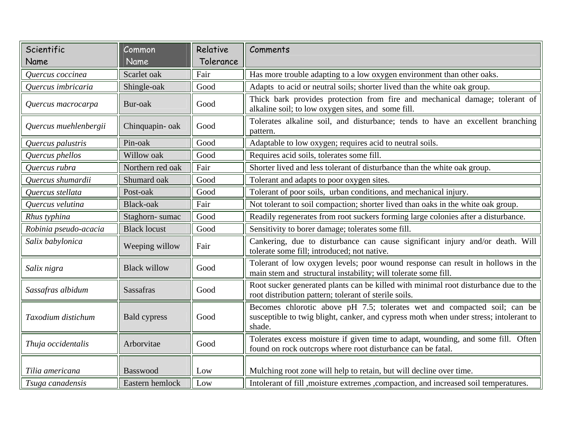| Scientific            | Common              | Relative  | Comments                                                                                                                                                                    |
|-----------------------|---------------------|-----------|-----------------------------------------------------------------------------------------------------------------------------------------------------------------------------|
| Name                  | Name                | Tolerance |                                                                                                                                                                             |
| Quercus coccinea      | Scarlet oak         | Fair      | Has more trouble adapting to a low oxygen environment than other oaks.                                                                                                      |
| Quercus imbricaria    | Shingle-oak         | Good      | Adapts to acid or neutral soils; shorter lived than the white oak group.                                                                                                    |
| Quercus macrocarpa    | Bur-oak             | Good      | Thick bark provides protection from fire and mechanical damage; tolerant of<br>alkaline soil; to low oxygen sites, and some fill.                                           |
| Quercus muehlenbergii | Chinquapin-oak      | Good      | Tolerates alkaline soil, and disturbance; tends to have an excellent branching<br>pattern.                                                                                  |
| Quercus palustris     | Pin-oak             | Good      | Adaptable to low oxygen; requires acid to neutral soils.                                                                                                                    |
| Quercus phellos       | Willow oak          | Good      | Requires acid soils, tolerates some fill.                                                                                                                                   |
| Quercus rubra         | Northern red oak    | Fair      | Shorter lived and less tolerant of disturbance than the white oak group.                                                                                                    |
| Quercus shumardii     | Shumard oak         | Good      | Tolerant and adapts to poor oxygen sites.                                                                                                                                   |
| Quercus stellata      | Post-oak            | Good      | Tolerant of poor soils, urban conditions, and mechanical injury.                                                                                                            |
| Quercus velutina      | Black-oak           | Fair      | Not tolerant to soil compaction; shorter lived than oaks in the white oak group.                                                                                            |
| Rhus typhina          | Staghorn-sumac      | Good      | Readily regenerates from root suckers forming large colonies after a disturbance.                                                                                           |
| Robinia pseudo-acacia | <b>Black locust</b> | Good      | Sensitivity to borer damage; tolerates some fill.                                                                                                                           |
| Salix babylonica      | Weeping willow      | Fair      | Cankering, due to disturbance can cause significant injury and/or death. Will<br>tolerate some fill; introduced; not native.                                                |
| Salix nigra           | <b>Black willow</b> | Good      | Tolerant of low oxygen levels; poor wound response can result in hollows in the<br>main stem and structural instability; will tolerate some fill.                           |
| Sassafras albidum     | <b>Sassafras</b>    | Good      | Root sucker generated plants can be killed with minimal root disturbance due to the<br>root distribution pattern; tolerant of sterile soils.                                |
| Taxodium distichum    | <b>Bald cypress</b> | Good      | Becomes chlorotic above pH 7.5; tolerates wet and compacted soil; can be<br>susceptible to twig blight, canker, and cypress moth when under stress; intolerant to<br>shade. |
| Thuja occidentalis    | Arborvitae          | Good      | Tolerates excess moisture if given time to adapt, wounding, and some fill. Often<br>found on rock outcrops where root disturbance can be fatal.                             |
| Tilia americana       | Basswood            | Low       | Mulching root zone will help to retain, but will decline over time.                                                                                                         |
| Tsuga canadensis      | Eastern hemlock     | Low       | Intolerant of fill , moisture extremes , compaction, and increased soil temperatures.                                                                                       |